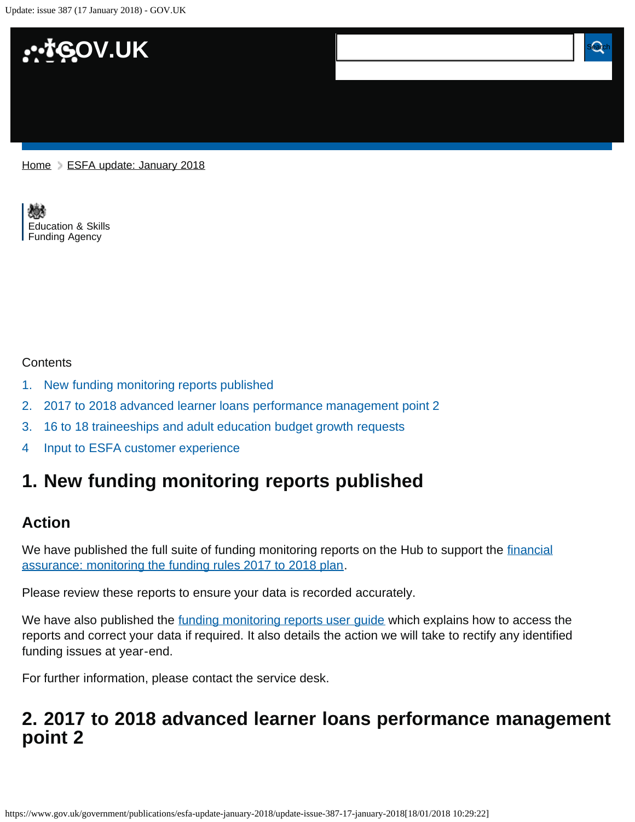Update: issue 387 (17 January 2018) - GOV.UK



[Home](https://www.gov.uk/) > [ESFA update: January 2018](https://www.gov.uk/government/publications/esfa-update-january-2018)

[Education & Skills](https://www.gov.uk/government/organisations/education-and-skills-funding-agency)  [Funding Agency](https://www.gov.uk/government/organisations/education-and-skills-funding-agency)

#### **Contents**

- [1.](#page-0-0) [New funding monitoring reports published](#page-0-0)
- [2.](#page-0-1) [2017 to 2018 advanced learner loans performance management point 2](#page-0-1)
- [3.](#page-1-0) [16 to 18 traineeships and adult education budget growth requests](#page-1-0)
- [4](#page-1-1) [Input to ESFA customer experience](#page-1-1)

# <span id="page-0-0"></span>**1. New funding monitoring reports published**

### **Action**

We have published the full suite of funding monitoring reports on the Hub to support the [financial](https://www.gov.uk/government/publications/sfa-financial-assurance-monitoring-the-funding-rules) [assurance: monitoring the funding rules 2017 to 2018 plan.](https://www.gov.uk/government/publications/sfa-financial-assurance-monitoring-the-funding-rules)

Please review these reports to ensure your data is recorded accurately.

We have also published the [funding monitoring reports user guide](https://www.gov.uk/government/publications/sfa-financial-assurance-monitoring-the-funding-rules) which explains how to access the reports and correct your data if required. It also details the action we will take to rectify any identified funding issues at year-end.

For further information, please contact the service desk.

# <span id="page-0-1"></span>**2. 2017 to 2018 advanced learner loans performance management point 2**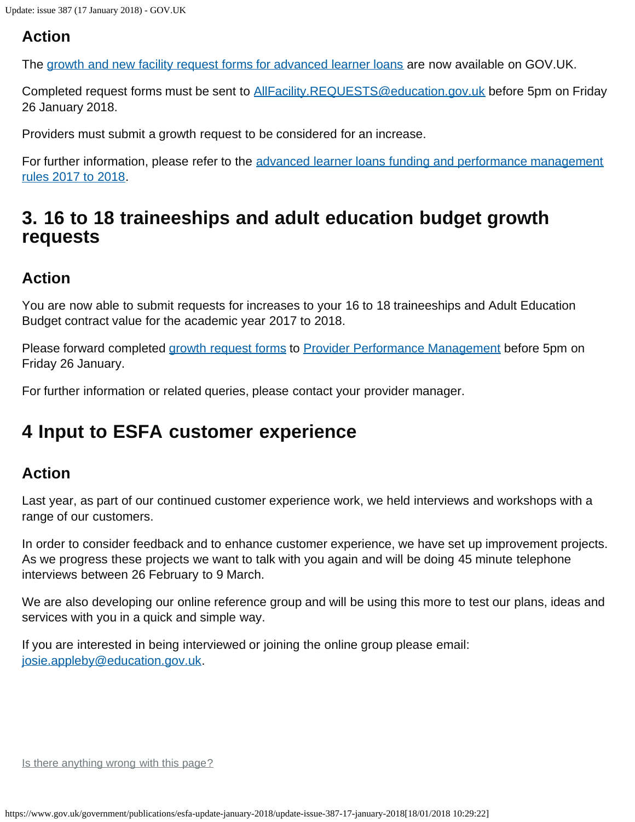## **Action**

The [growth and new facility request forms for advanced learner loans](https://www.gov.uk/government/publications/24-advanced-learning-loans-facility-adjustment-request-form) are now available on GOV.UK.

Completed request forms must be sent to [AllFacility.REQUESTS@education.gov.uk](mailto:AllFacility.REQUESTS@education.gov.uk) before 5pm on Friday 26 January 2018.

Providers must submit a growth request to be considered for an increase.

For further information, please refer to the [advanced learner loans funding and performance management](https://www.gov.uk/government/publications/advanced-learner-loans-funding-rules-2017-to-2018) [rules 2017 to 2018](https://www.gov.uk/government/publications/advanced-learner-loans-funding-rules-2017-to-2018).

# <span id="page-1-0"></span>**3. 16 to 18 traineeships and adult education budget growth requests**

## **Action**

You are now able to submit requests for increases to your 16 to 18 traineeships and Adult Education Budget contract value for the academic year 2017 to 2018.

Please forward completed [growth request forms](https://www.gov.uk/government/publications/sfa-growth-request) to [Provider Performance Management](mailto:Provider.PerformanceManagement@education.gov.uk) before 5pm on Friday 26 January.

For further information or related queries, please contact your provider manager.

# <span id="page-1-1"></span>**4 Input to ESFA customer experience**

## **Action**

Last year, as part of our continued customer experience work, we held interviews and workshops with a range of our customers.

In order to consider feedback and to enhance customer experience, we have set up improvement projects. As we progress these projects we want to talk with you again and will be doing 45 minute telephone interviews between 26 February to 9 March.

We are also developing our online reference group and will be using this more to test our plans, ideas and services with you in a quick and simple way.

If you are interested in being interviewed or joining the online group please email: [josie.appleby@education.gov.uk](mailto:josie.appleby@education.gov.uk).

Is there anything wrong with this page?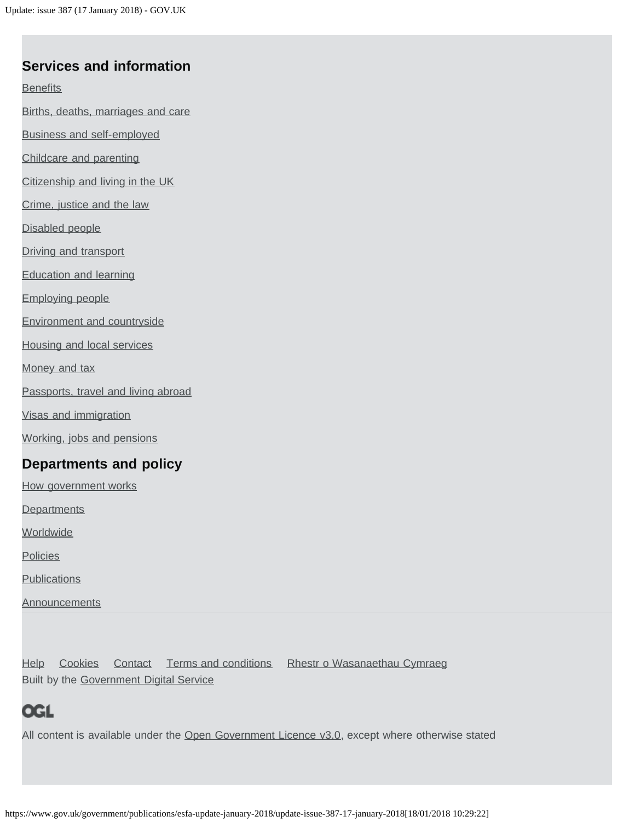#### **Services and information**

**[Benefits](https://www.gov.uk/browse/benefits)** 

[Births, deaths, marriages and care](https://www.gov.uk/browse/births-deaths-marriages)

[Business and self-employed](https://www.gov.uk/browse/business)

[Childcare and parenting](https://www.gov.uk/browse/childcare-parenting)

[Citizenship and living in the UK](https://www.gov.uk/browse/citizenship)

[Crime, justice and the law](https://www.gov.uk/browse/justice)

[Disabled people](https://www.gov.uk/browse/disabilities)

[Driving and transport](https://www.gov.uk/browse/driving)

[Education and learning](https://www.gov.uk/browse/education)

[Employing people](https://www.gov.uk/browse/employing-people)

[Environment and countryside](https://www.gov.uk/browse/environment-countryside)

[Housing and local services](https://www.gov.uk/browse/housing-local-services)

[Money and tax](https://www.gov.uk/browse/tax)

[Passports, travel and living abroad](https://www.gov.uk/browse/abroad)

[Visas and immigration](https://www.gov.uk/browse/visas-immigration)

[Working, jobs and pensions](https://www.gov.uk/browse/working)

#### **Departments and policy**

[How government works](https://www.gov.uk/government/how-government-works)

**[Departments](https://www.gov.uk/government/organisations)** 

**[Worldwide](https://www.gov.uk/world)** 

**[Policies](https://www.gov.uk/government/policies)** 

**[Publications](https://www.gov.uk/government/publications)** 

**[Announcements](https://www.gov.uk/government/announcements)** 

[Help](https://www.gov.uk/help) [Cookies](https://www.gov.uk/help/cookies) [Contact](https://www.gov.uk/contact) [Terms and conditions](https://www.gov.uk/help/terms-conditions) [Rhestr o Wasanaethau Cymraeg](https://www.gov.uk/cymraeg) Built by the [Government Digital Service](https://www.gov.uk/government/organisations/government-digital-service)

## **OGL**

All content is available under the [Open Government Licence v3.0,](https://www.nationalarchives.gov.uk/doc/open-government-licence/version/3/) except where otherwise stated

https://www.gov.uk/government/publications/esfa-update-january-2018/update-issue-387-17-january-2018[18/01/2018 10:29:22]